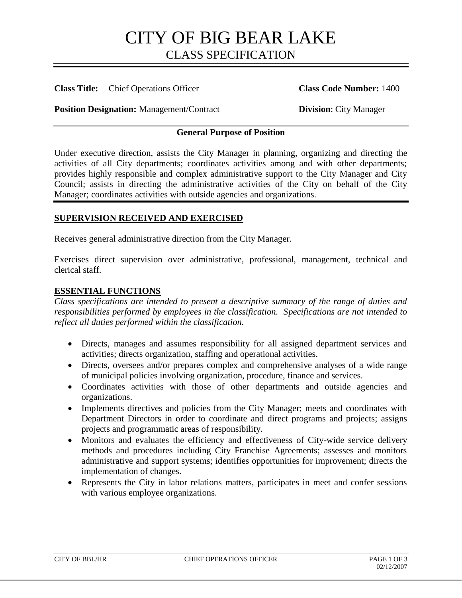## CITY OF BIG BEAR LAKE CLASS SPECIFICATION

## **Class Title:** Chief Operations Officer **Class Code Number:** 1400

**Position Designation:** Management/Contract **Division: City Manager** 

## **General Purpose of Position**

Under executive direction, assists the City Manager in planning, organizing and directing the activities of all City departments; coordinates activities among and with other departments; provides highly responsible and complex administrative support to the City Manager and City Council; assists in directing the administrative activities of the City on behalf of the City Manager; coordinates activities with outside agencies and organizations.

## **SUPERVISION RECEIVED AND EXERCISED**

Receives general administrative direction from the City Manager.

Exercises direct supervision over administrative, professional, management, technical and clerical staff.

#### **ESSENTIAL FUNCTIONS**

*Class specifications are intended to present a descriptive summary of the range of duties and responsibilities performed by employees in the classification. Specifications are not intended to reflect all duties performed within the classification.*

- Directs, manages and assumes responsibility for all assigned department services and activities; directs organization, staffing and operational activities.
- Directs, oversees and/or prepares complex and comprehensive analyses of a wide range of municipal policies involving organization, procedure, finance and services.
- Coordinates activities with those of other departments and outside agencies and organizations.
- Implements directives and policies from the City Manager; meets and coordinates with Department Directors in order to coordinate and direct programs and projects; assigns projects and programmatic areas of responsibility.
- Monitors and evaluates the efficiency and effectiveness of City-wide service delivery methods and procedures including City Franchise Agreements; assesses and monitors administrative and support systems; identifies opportunities for improvement; directs the implementation of changes.
- Represents the City in labor relations matters, participates in meet and confer sessions with various employee organizations.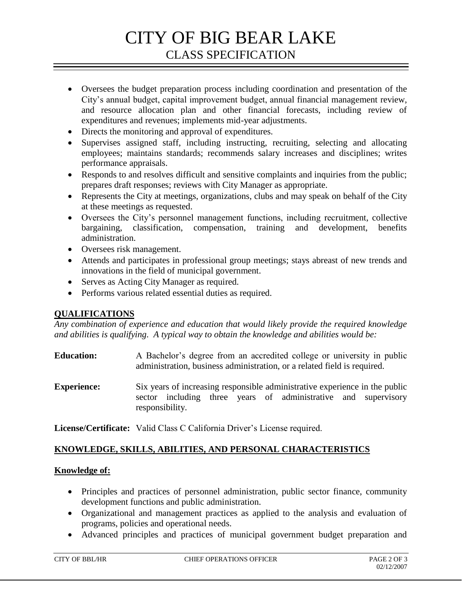# CITY OF BIG BEAR LAKE CLASS SPECIFICATION

- Oversees the budget preparation process including coordination and presentation of the City's annual budget, capital improvement budget, annual financial management review, and resource allocation plan and other financial forecasts, including review of expenditures and revenues; implements mid-year adjustments.
- Directs the monitoring and approval of expenditures.
- Supervises assigned staff, including instructing, recruiting, selecting and allocating employees; maintains standards; recommends salary increases and disciplines; writes performance appraisals.
- Responds to and resolves difficult and sensitive complaints and inquiries from the public; prepares draft responses; reviews with City Manager as appropriate.
- Represents the City at meetings, organizations, clubs and may speak on behalf of the City at these meetings as requested.
- Oversees the City's personnel management functions, including recruitment, collective bargaining, classification, compensation, training and development, benefits administration.
- Oversees risk management.
- Attends and participates in professional group meetings; stays abreast of new trends and innovations in the field of municipal government.
- Serves as Acting City Manager as required.
- Performs various related essential duties as required.

## **QUALIFICATIONS**

*Any combination of experience and education that would likely provide the required knowledge and abilities is qualifying. A typical way to obtain the knowledge and abilities would be:*

- **Education:** A Bachelor's degree from an accredited college or university in public administration, business administration, or a related field is required.
- **Experience:** Six years of increasing responsible administrative experience in the public sector including three years of administrative and supervisory responsibility.

**License/Certificate:** Valid Class C California Driver's License required.

## **KNOWLEDGE, SKILLS, ABILITIES, AND PERSONAL CHARACTERISTICS**

## **Knowledge of:**

- Principles and practices of personnel administration, public sector finance, community development functions and public administration.
- Organizational and management practices as applied to the analysis and evaluation of programs, policies and operational needs.
- Advanced principles and practices of municipal government budget preparation and